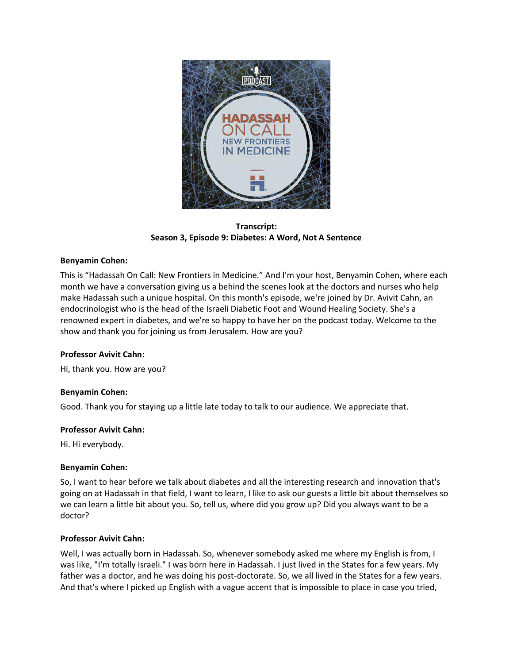

**Transcript: Season 3, Episode 9: Diabetes: A Word, Not A Sentence**

## **Benyamin Cohen:**

This is "Hadassah On Call: New Frontiers in Medicine." And I'm your host, Benyamin Cohen, where each month we have a conversation giving us a behind the scenes look at the doctors and nurses who help make Hadassah such a unique hospital. On this month's episode, we're joined by Dr. Avivit Cahn, an endocrinologist who is the head of the Israeli Diabetic Foot and Wound Healing Society. She's a renowned expert in diabetes, and we're so happy to have her on the podcast today. Welcome to the show and thank you for joining us from Jerusalem. How are you?

## **Professor Avivit Cahn:**

Hi, thank you. How are you?

## **Benyamin Cohen:**

Good. Thank you for staying up a little late today to talk to our audience. We appreciate that.

## **Professor Avivit Cahn:**

Hi. Hi everybody.

## **Benyamin Cohen:**

So, I want to hear before we talk about diabetes and all the interesting research and innovation that's going on at Hadassah in that field, I want to learn, I like to ask our guests a little bit about themselves so we can learn a little bit about you. So, tell us, where did you grow up? Did you always want to be a doctor?

## **Professor Avivit Cahn:**

Well, I was actually born in Hadassah. So, whenever somebody asked me where my English is from, I was like, "I'm totally Israeli." I was born here in Hadassah. I just lived in the States for a few years. My father was a doctor, and he was doing his post-doctorate. So, we all lived in the States for a few years. And that's where I picked up English with a vague accent that is impossible to place in case you tried,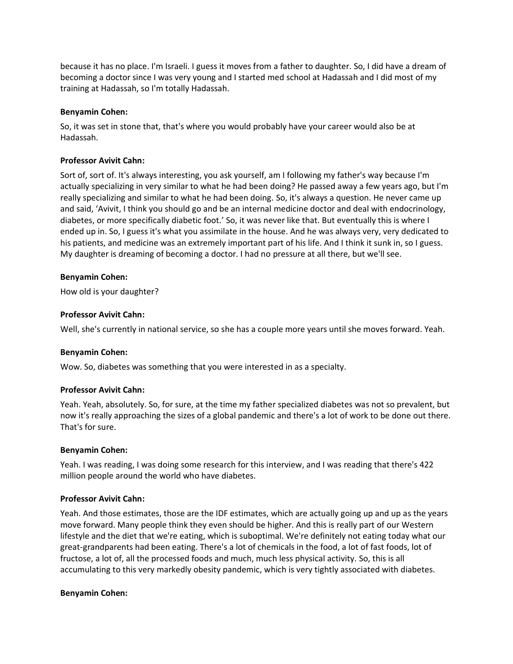because it has no place. I'm Israeli. I guess it moves from a father to daughter. So, I did have a dream of becoming a doctor since I was very young and I started med school at Hadassah and I did most of my training at Hadassah, so I'm totally Hadassah.

#### **Benyamin Cohen:**

So, it was set in stone that, that's where you would probably have your career would also be at Hadassah.

#### **Professor Avivit Cahn:**

Sort of, sort of. It's always interesting, you ask yourself, am I following my father's way because I'm actually specializing in very similar to what he had been doing? He passed away a few years ago, but I'm really specializing and similar to what he had been doing. So, it's always a question. He never came up and said, 'Avivit, I think you should go and be an internal medicine doctor and deal with endocrinology, diabetes, or more specifically diabetic foot.' So, it was never like that. But eventually this is where I ended up in. So, I guess it's what you assimilate in the house. And he was always very, very dedicated to his patients, and medicine was an extremely important part of his life. And I think it sunk in, so I guess. My daughter is dreaming of becoming a doctor. I had no pressure at all there, but we'll see.

#### **Benyamin Cohen:**

How old is your daughter?

#### **Professor Avivit Cahn:**

Well, she's currently in national service, so she has a couple more years until she moves forward. Yeah.

#### **Benyamin Cohen:**

Wow. So, diabetes was something that you were interested in as a specialty.

#### **Professor Avivit Cahn:**

Yeah. Yeah, absolutely. So, for sure, at the time my father specialized diabetes was not so prevalent, but now it's really approaching the sizes of a global pandemic and there's a lot of work to be done out there. That's for sure.

#### **Benyamin Cohen:**

Yeah. I was reading, I was doing some research for this interview, and I was reading that there's 422 million people around the world who have diabetes.

#### **Professor Avivit Cahn:**

Yeah. And those estimates, those are the IDF estimates, which are actually going up and up as the years move forward. Many people think they even should be higher. And this is really part of our Western lifestyle and the diet that we're eating, which is suboptimal. We're definitely not eating today what our great-grandparents had been eating. There's a lot of chemicals in the food, a lot of fast foods, lot of fructose, a lot of, all the processed foods and much, much less physical activity. So, this is all accumulating to this very markedly obesity pandemic, which is very tightly associated with diabetes.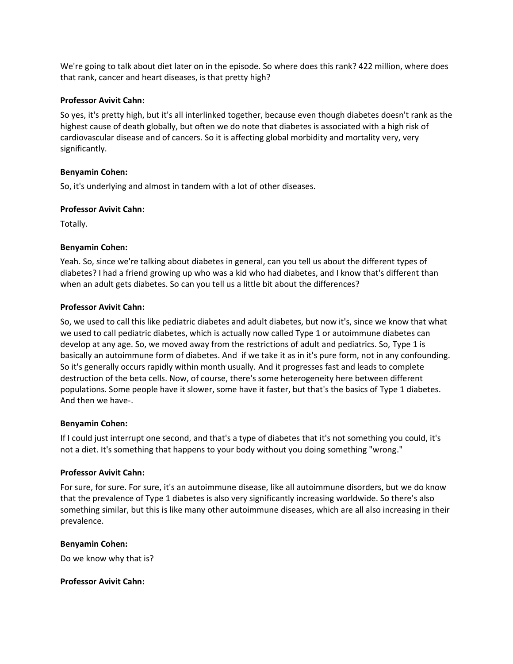We're going to talk about diet later on in the episode. So where does this rank? 422 million, where does that rank, cancer and heart diseases, is that pretty high?

## **Professor Avivit Cahn:**

So yes, it's pretty high, but it's all interlinked together, because even though diabetes doesn't rank as the highest cause of death globally, but often we do note that diabetes is associated with a high risk of cardiovascular disease and of cancers. So it is affecting global morbidity and mortality very, very significantly.

#### **Benyamin Cohen:**

So, it's underlying and almost in tandem with a lot of other diseases.

#### **Professor Avivit Cahn:**

Totally.

#### **Benyamin Cohen:**

Yeah. So, since we're talking about diabetes in general, can you tell us about the different types of diabetes? I had a friend growing up who was a kid who had diabetes, and I know that's different than when an adult gets diabetes. So can you tell us a little bit about the differences?

#### **Professor Avivit Cahn:**

So, we used to call this like pediatric diabetes and adult diabetes, but now it's, since we know that what we used to call pediatric diabetes, which is actually now called Type 1 or autoimmune diabetes can develop at any age. So, we moved away from the restrictions of adult and pediatrics. So, Type 1 is basically an autoimmune form of diabetes. And if we take it as in it's pure form, not in any confounding. So it's generally occurs rapidly within month usually. And it progresses fast and leads to complete destruction of the beta cells. Now, of course, there's some heterogeneity here between different populations. Some people have it slower, some have it faster, but that's the basics of Type 1 diabetes. And then we have-.

#### **Benyamin Cohen:**

If I could just interrupt one second, and that's a type of diabetes that it's not something you could, it's not a diet. It's something that happens to your body without you doing something "wrong."

#### **Professor Avivit Cahn:**

For sure, for sure. For sure, it's an autoimmune disease, like all autoimmune disorders, but we do know that the prevalence of Type 1 diabetes is also very significantly increasing worldwide. So there's also something similar, but this is like many other autoimmune diseases, which are all also increasing in their prevalence.

#### **Benyamin Cohen:**

Do we know why that is?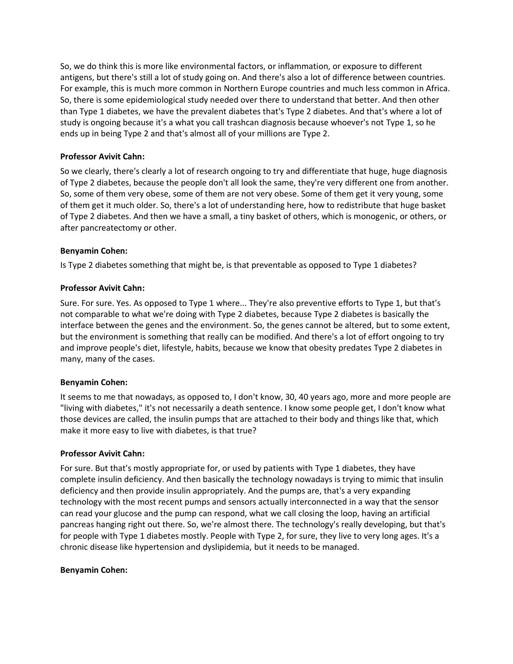So, we do think this is more like environmental factors, or inflammation, or exposure to different antigens, but there's still a lot of study going on. And there's also a lot of difference between countries. For example, this is much more common in Northern Europe countries and much less common in Africa. So, there is some epidemiological study needed over there to understand that better. And then other than Type 1 diabetes, we have the prevalent diabetes that's Type 2 diabetes. And that's where a lot of study is ongoing because it's a what you call trashcan diagnosis because whoever's not Type 1, so he ends up in being Type 2 and that's almost all of your millions are Type 2.

## **Professor Avivit Cahn:**

So we clearly, there's clearly a lot of research ongoing to try and differentiate that huge, huge diagnosis of Type 2 diabetes, because the people don't all look the same, they're very different one from another. So, some of them very obese, some of them are not very obese. Some of them get it very young, some of them get it much older. So, there's a lot of understanding here, how to redistribute that huge basket of Type 2 diabetes. And then we have a small, a tiny basket of others, which is monogenic, or others, or after pancreatectomy or other.

## **Benyamin Cohen:**

Is Type 2 diabetes something that might be, is that preventable as opposed to Type 1 diabetes?

# **Professor Avivit Cahn:**

Sure. For sure. Yes. As opposed to Type 1 where... They're also preventive efforts to Type 1, but that's not comparable to what we're doing with Type 2 diabetes, because Type 2 diabetes is basically the interface between the genes and the environment. So, the genes cannot be altered, but to some extent, but the environment is something that really can be modified. And there's a lot of effort ongoing to try and improve people's diet, lifestyle, habits, because we know that obesity predates Type 2 diabetes in many, many of the cases.

## **Benyamin Cohen:**

It seems to me that nowadays, as opposed to, I don't know, 30, 40 years ago, more and more people are "living with diabetes," it's not necessarily a death sentence. I know some people get, I don't know what those devices are called, the insulin pumps that are attached to their body and things like that, which make it more easy to live with diabetes, is that true?

## **Professor Avivit Cahn:**

For sure. But that's mostly appropriate for, or used by patients with Type 1 diabetes, they have complete insulin deficiency. And then basically the technology nowadays is trying to mimic that insulin deficiency and then provide insulin appropriately. And the pumps are, that's a very expanding technology with the most recent pumps and sensors actually interconnected in a way that the sensor can read your glucose and the pump can respond, what we call closing the loop, having an artificial pancreas hanging right out there. So, we're almost there. The technology's really developing, but that's for people with Type 1 diabetes mostly. People with Type 2, for sure, they live to very long ages. It's a chronic disease like hypertension and dyslipidemia, but it needs to be managed.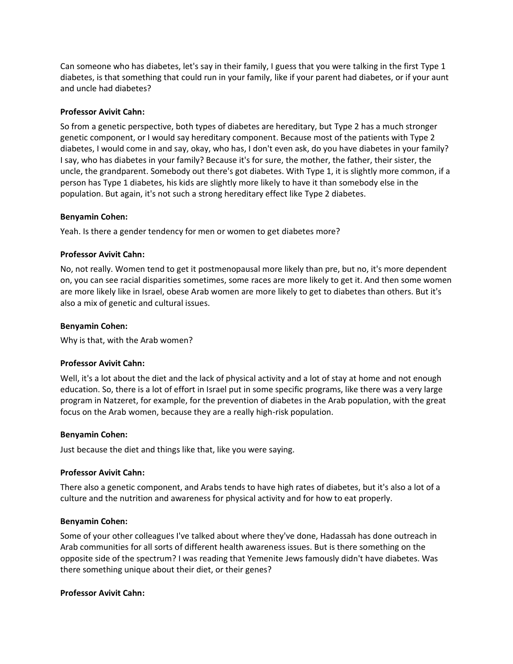Can someone who has diabetes, let's say in their family, I guess that you were talking in the first Type 1 diabetes, is that something that could run in your family, like if your parent had diabetes, or if your aunt and uncle had diabetes?

#### **Professor Avivit Cahn:**

So from a genetic perspective, both types of diabetes are hereditary, but Type 2 has a much stronger genetic component, or I would say hereditary component. Because most of the patients with Type 2 diabetes, I would come in and say, okay, who has, I don't even ask, do you have diabetes in your family? I say, who has diabetes in your family? Because it's for sure, the mother, the father, their sister, the uncle, the grandparent. Somebody out there's got diabetes. With Type 1, it is slightly more common, if a person has Type 1 diabetes, his kids are slightly more likely to have it than somebody else in the population. But again, it's not such a strong hereditary effect like Type 2 diabetes.

#### **Benyamin Cohen:**

Yeah. Is there a gender tendency for men or women to get diabetes more?

#### **Professor Avivit Cahn:**

No, not really. Women tend to get it postmenopausal more likely than pre, but no, it's more dependent on, you can see racial disparities sometimes, some races are more likely to get it. And then some women are more likely like in Israel, obese Arab women are more likely to get to diabetes than others. But it's also a mix of genetic and cultural issues.

#### **Benyamin Cohen:**

Why is that, with the Arab women?

#### **Professor Avivit Cahn:**

Well, it's a lot about the diet and the lack of physical activity and a lot of stay at home and not enough education. So, there is a lot of effort in Israel put in some specific programs, like there was a very large program in Natzeret, for example, for the prevention of diabetes in the Arab population, with the great focus on the Arab women, because they are a really high-risk population.

#### **Benyamin Cohen:**

Just because the diet and things like that, like you were saying.

## **Professor Avivit Cahn:**

There also a genetic component, and Arabs tends to have high rates of diabetes, but it's also a lot of a culture and the nutrition and awareness for physical activity and for how to eat properly.

#### **Benyamin Cohen:**

Some of your other colleagues I've talked about where they've done, Hadassah has done outreach in Arab communities for all sorts of different health awareness issues. But is there something on the opposite side of the spectrum? I was reading that Yemenite Jews famously didn't have diabetes. Was there something unique about their diet, or their genes?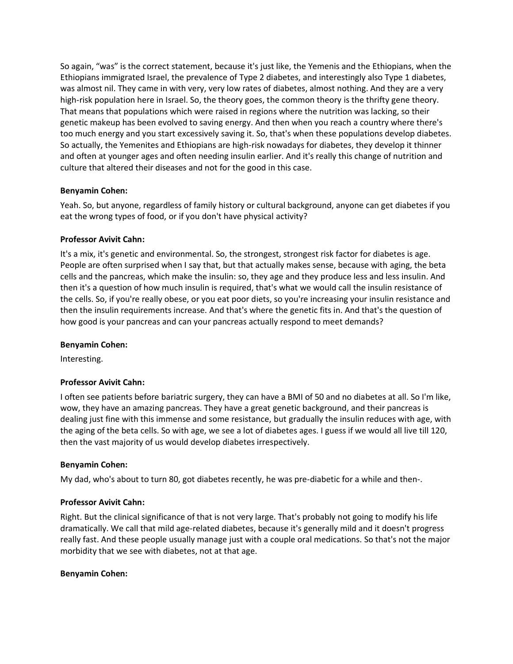So again, "was" is the correct statement, because it's just like, the Yemenis and the Ethiopians, when the Ethiopians immigrated Israel, the prevalence of Type 2 diabetes, and interestingly also Type 1 diabetes, was almost nil. They came in with very, very low rates of diabetes, almost nothing. And they are a very high-risk population here in Israel. So, the theory goes, the common theory is the thrifty gene theory. That means that populations which were raised in regions where the nutrition was lacking, so their genetic makeup has been evolved to saving energy. And then when you reach a country where there's too much energy and you start excessively saving it. So, that's when these populations develop diabetes. So actually, the Yemenites and Ethiopians are high-risk nowadays for diabetes, they develop it thinner and often at younger ages and often needing insulin earlier. And it's really this change of nutrition and culture that altered their diseases and not for the good in this case.

## **Benyamin Cohen:**

Yeah. So, but anyone, regardless of family history or cultural background, anyone can get diabetes if you eat the wrong types of food, or if you don't have physical activity?

# **Professor Avivit Cahn:**

It's a mix, it's genetic and environmental. So, the strongest, strongest risk factor for diabetes is age. People are often surprised when I say that, but that actually makes sense, because with aging, the beta cells and the pancreas, which make the insulin: so, they age and they produce less and less insulin. And then it's a question of how much insulin is required, that's what we would call the insulin resistance of the cells. So, if you're really obese, or you eat poor diets, so you're increasing your insulin resistance and then the insulin requirements increase. And that's where the genetic fits in. And that's the question of how good is your pancreas and can your pancreas actually respond to meet demands?

## **Benyamin Cohen:**

Interesting.

# **Professor Avivit Cahn:**

I often see patients before bariatric surgery, they can have a BMI of 50 and no diabetes at all. So I'm like, wow, they have an amazing pancreas. They have a great genetic background, and their pancreas is dealing just fine with this immense and some resistance, but gradually the insulin reduces with age, with the aging of the beta cells. So with age, we see a lot of diabetes ages. I guess if we would all live till 120, then the vast majority of us would develop diabetes irrespectively.

## **Benyamin Cohen:**

My dad, who's about to turn 80, got diabetes recently, he was pre-diabetic for a while and then-.

# **Professor Avivit Cahn:**

Right. But the clinical significance of that is not very large. That's probably not going to modify his life dramatically. We call that mild age-related diabetes, because it's generally mild and it doesn't progress really fast. And these people usually manage just with a couple oral medications. So that's not the major morbidity that we see with diabetes, not at that age.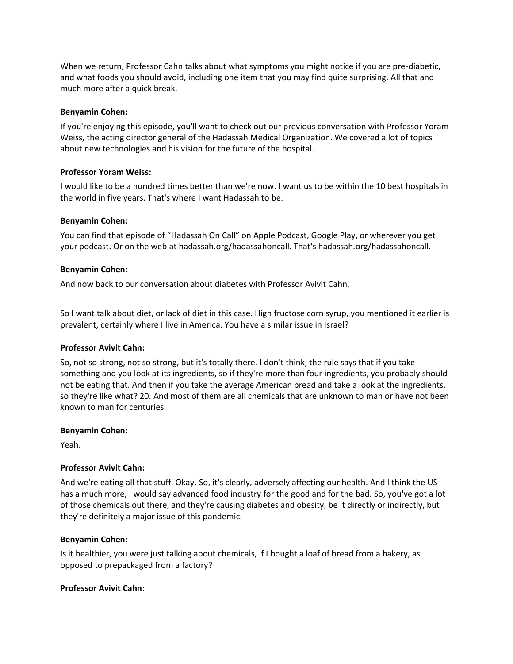When we return, Professor Cahn talks about what symptoms you might notice if you are pre-diabetic, and what foods you should avoid, including one item that you may find quite surprising. All that and much more after a quick break.

#### **Benyamin Cohen:**

If you're enjoying this episode, you'll want to check out our previous conversation with Professor Yoram Weiss, the acting director general of the Hadassah Medical Organization. We covered a lot of topics about new technologies and his vision for the future of the hospital.

## **Professor Yoram Weiss:**

I would like to be a hundred times better than we're now. I want us to be within the 10 best hospitals in the world in five years. That's where I want Hadassah to be.

#### **Benyamin Cohen:**

You can find that episode of "Hadassah On Call" on Apple Podcast, Google Play, or wherever you get your podcast. Or on the web at hadassah.org/hadassahoncall. That's hadassah.org/hadassahoncall.

#### **Benyamin Cohen:**

And now back to our conversation about diabetes with Professor Avivit Cahn.

So I want talk about diet, or lack of diet in this case. High fructose corn syrup, you mentioned it earlier is prevalent, certainly where I live in America. You have a similar issue in Israel?

## **Professor Avivit Cahn:**

So, not so strong, not so strong, but it's totally there. I don't think, the rule says that if you take something and you look at its ingredients, so if they're more than four ingredients, you probably should not be eating that. And then if you take the average American bread and take a look at the ingredients, so they're like what? 20. And most of them are all chemicals that are unknown to man or have not been known to man for centuries.

#### **Benyamin Cohen:**

Yeah.

## **Professor Avivit Cahn:**

And we're eating all that stuff. Okay. So, it's clearly, adversely affecting our health. And I think the US has a much more, I would say advanced food industry for the good and for the bad. So, you've got a lot of those chemicals out there, and they're causing diabetes and obesity, be it directly or indirectly, but they're definitely a major issue of this pandemic.

## **Benyamin Cohen:**

Is it healthier, you were just talking about chemicals, if I bought a loaf of bread from a bakery, as opposed to prepackaged from a factory?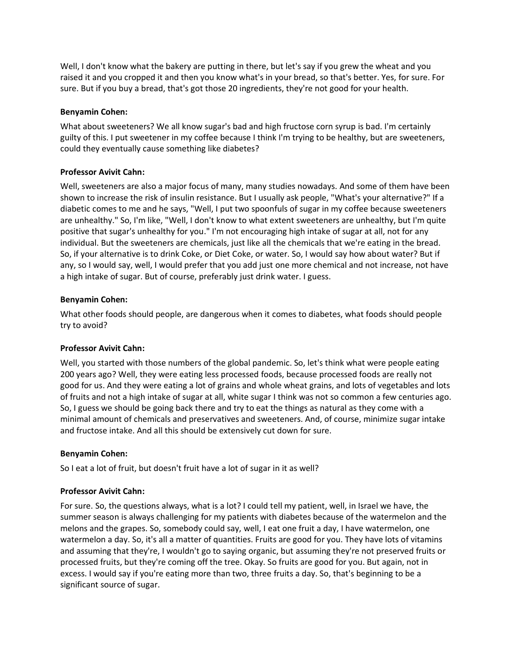Well, I don't know what the bakery are putting in there, but let's say if you grew the wheat and you raised it and you cropped it and then you know what's in your bread, so that's better. Yes, for sure. For sure. But if you buy a bread, that's got those 20 ingredients, they're not good for your health.

## **Benyamin Cohen:**

What about sweeteners? We all know sugar's bad and high fructose corn syrup is bad. I'm certainly guilty of this. I put sweetener in my coffee because I think I'm trying to be healthy, but are sweeteners, could they eventually cause something like diabetes?

# **Professor Avivit Cahn:**

Well, sweeteners are also a major focus of many, many studies nowadays. And some of them have been shown to increase the risk of insulin resistance. But I usually ask people, "What's your alternative?" If a diabetic comes to me and he says, "Well, I put two spoonfuls of sugar in my coffee because sweeteners are unhealthy." So, I'm like, "Well, I don't know to what extent sweeteners are unhealthy, but I'm quite positive that sugar's unhealthy for you." I'm not encouraging high intake of sugar at all, not for any individual. But the sweeteners are chemicals, just like all the chemicals that we're eating in the bread. So, if your alternative is to drink Coke, or Diet Coke, or water. So, I would say how about water? But if any, so I would say, well, I would prefer that you add just one more chemical and not increase, not have a high intake of sugar. But of course, preferably just drink water. I guess.

# **Benyamin Cohen:**

What other foods should people, are dangerous when it comes to diabetes, what foods should people try to avoid?

## **Professor Avivit Cahn:**

Well, you started with those numbers of the global pandemic. So, let's think what were people eating 200 years ago? Well, they were eating less processed foods, because processed foods are really not good for us. And they were eating a lot of grains and whole wheat grains, and lots of vegetables and lots of fruits and not a high intake of sugar at all, white sugar I think was not so common a few centuries ago. So, I guess we should be going back there and try to eat the things as natural as they come with a minimal amount of chemicals and preservatives and sweeteners. And, of course, minimize sugar intake and fructose intake. And all this should be extensively cut down for sure.

## **Benyamin Cohen:**

So I eat a lot of fruit, but doesn't fruit have a lot of sugar in it as well?

# **Professor Avivit Cahn:**

For sure. So, the questions always, what is a lot? I could tell my patient, well, in Israel we have, the summer season is always challenging for my patients with diabetes because of the watermelon and the melons and the grapes. So, somebody could say, well, I eat one fruit a day, I have watermelon, one watermelon a day. So, it's all a matter of quantities. Fruits are good for you. They have lots of vitamins and assuming that they're, I wouldn't go to saying organic, but assuming they're not preserved fruits or processed fruits, but they're coming off the tree. Okay. So fruits are good for you. But again, not in excess. I would say if you're eating more than two, three fruits a day. So, that's beginning to be a significant source of sugar.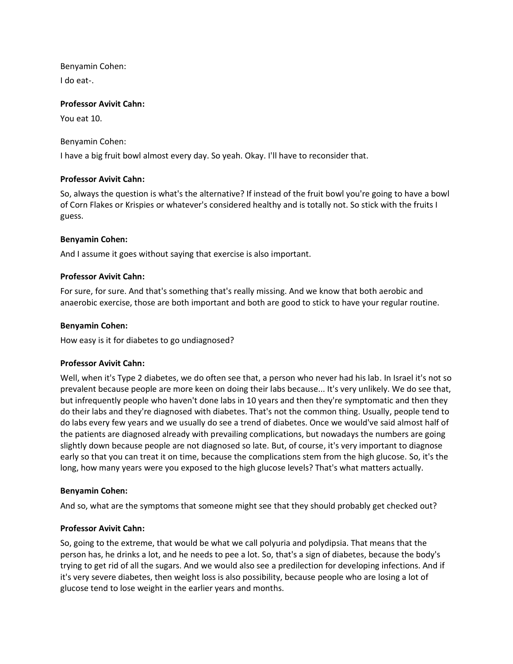Benyamin Cohen:

I do eat-.

# **Professor Avivit Cahn:**

You eat 10.

## Benyamin Cohen:

I have a big fruit bowl almost every day. So yeah. Okay. I'll have to reconsider that.

# **Professor Avivit Cahn:**

So, always the question is what's the alternative? If instead of the fruit bowl you're going to have a bowl of Corn Flakes or Krispies or whatever's considered healthy and is totally not. So stick with the fruits I guess.

# **Benyamin Cohen:**

And I assume it goes without saying that exercise is also important.

# **Professor Avivit Cahn:**

For sure, for sure. And that's something that's really missing. And we know that both aerobic and anaerobic exercise, those are both important and both are good to stick to have your regular routine.

# **Benyamin Cohen:**

How easy is it for diabetes to go undiagnosed?

## **Professor Avivit Cahn:**

Well, when it's Type 2 diabetes, we do often see that, a person who never had his lab. In Israel it's not so prevalent because people are more keen on doing their labs because... It's very unlikely. We do see that, but infrequently people who haven't done labs in 10 years and then they're symptomatic and then they do their labs and they're diagnosed with diabetes. That's not the common thing. Usually, people tend to do labs every few years and we usually do see a trend of diabetes. Once we would've said almost half of the patients are diagnosed already with prevailing complications, but nowadays the numbers are going slightly down because people are not diagnosed so late. But, of course, it's very important to diagnose early so that you can treat it on time, because the complications stem from the high glucose. So, it's the long, how many years were you exposed to the high glucose levels? That's what matters actually.

## **Benyamin Cohen:**

And so, what are the symptoms that someone might see that they should probably get checked out?

# **Professor Avivit Cahn:**

So, going to the extreme, that would be what we call polyuria and polydipsia. That means that the person has, he drinks a lot, and he needs to pee a lot. So, that's a sign of diabetes, because the body's trying to get rid of all the sugars. And we would also see a predilection for developing infections. And if it's very severe diabetes, then weight loss is also possibility, because people who are losing a lot of glucose tend to lose weight in the earlier years and months.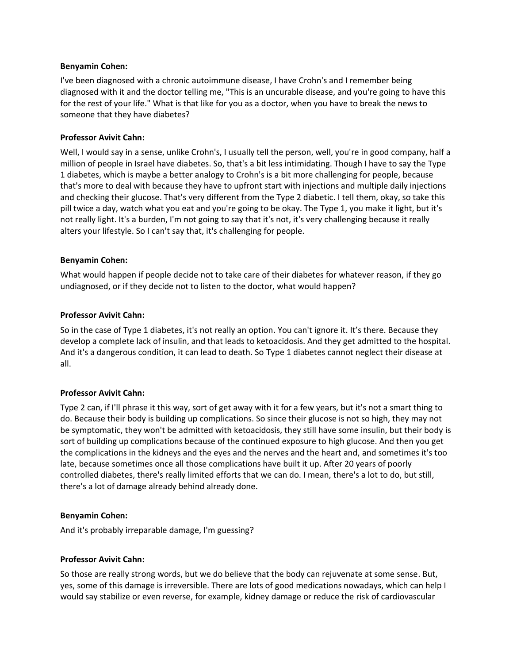#### **Benyamin Cohen:**

I've been diagnosed with a chronic autoimmune disease, I have Crohn's and I remember being diagnosed with it and the doctor telling me, "This is an uncurable disease, and you're going to have this for the rest of your life." What is that like for you as a doctor, when you have to break the news to someone that they have diabetes?

#### **Professor Avivit Cahn:**

Well, I would say in a sense, unlike Crohn's, I usually tell the person, well, you're in good company, half a million of people in Israel have diabetes. So, that's a bit less intimidating. Though I have to say the Type 1 diabetes, which is maybe a better analogy to Crohn's is a bit more challenging for people, because that's more to deal with because they have to upfront start with injections and multiple daily injections and checking their glucose. That's very different from the Type 2 diabetic. I tell them, okay, so take this pill twice a day, watch what you eat and you're going to be okay. The Type 1, you make it light, but it's not really light. It's a burden, I'm not going to say that it's not, it's very challenging because it really alters your lifestyle. So I can't say that, it's challenging for people.

#### **Benyamin Cohen:**

What would happen if people decide not to take care of their diabetes for whatever reason, if they go undiagnosed, or if they decide not to listen to the doctor, what would happen?

#### **Professor Avivit Cahn:**

So in the case of Type 1 diabetes, it's not really an option. You can't ignore it. It's there. Because they develop a complete lack of insulin, and that leads to ketoacidosis. And they get admitted to the hospital. And it's a dangerous condition, it can lead to death. So Type 1 diabetes cannot neglect their disease at all.

## **Professor Avivit Cahn:**

Type 2 can, if I'll phrase it this way, sort of get away with it for a few years, but it's not a smart thing to do. Because their body is building up complications. So since their glucose is not so high, they may not be symptomatic, they won't be admitted with ketoacidosis, they still have some insulin, but their body is sort of building up complications because of the continued exposure to high glucose. And then you get the complications in the kidneys and the eyes and the nerves and the heart and, and sometimes it's too late, because sometimes once all those complications have built it up. After 20 years of poorly controlled diabetes, there's really limited efforts that we can do. I mean, there's a lot to do, but still, there's a lot of damage already behind already done.

#### **Benyamin Cohen:**

And it's probably irreparable damage, I'm guessing?

#### **Professor Avivit Cahn:**

So those are really strong words, but we do believe that the body can rejuvenate at some sense. But, yes, some of this damage is irreversible. There are lots of good medications nowadays, which can help I would say stabilize or even reverse, for example, kidney damage or reduce the risk of cardiovascular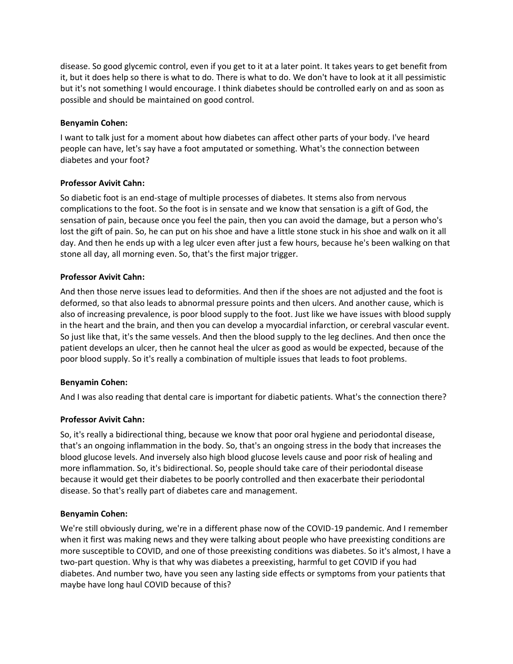disease. So good glycemic control, even if you get to it at a later point. It takes years to get benefit from it, but it does help so there is what to do. There is what to do. We don't have to look at it all pessimistic but it's not something I would encourage. I think diabetes should be controlled early on and as soon as possible and should be maintained on good control.

## **Benyamin Cohen:**

I want to talk just for a moment about how diabetes can affect other parts of your body. I've heard people can have, let's say have a foot amputated or something. What's the connection between diabetes and your foot?

# **Professor Avivit Cahn:**

So diabetic foot is an end-stage of multiple processes of diabetes. It stems also from nervous complications to the foot. So the foot is in sensate and we know that sensation is a gift of God, the sensation of pain, because once you feel the pain, then you can avoid the damage, but a person who's lost the gift of pain. So, he can put on his shoe and have a little stone stuck in his shoe and walk on it all day. And then he ends up with a leg ulcer even after just a few hours, because he's been walking on that stone all day, all morning even. So, that's the first major trigger.

# **Professor Avivit Cahn:**

And then those nerve issues lead to deformities. And then if the shoes are not adjusted and the foot is deformed, so that also leads to abnormal pressure points and then ulcers. And another cause, which is also of increasing prevalence, is poor blood supply to the foot. Just like we have issues with blood supply in the heart and the brain, and then you can develop a myocardial infarction, or cerebral vascular event. So just like that, it's the same vessels. And then the blood supply to the leg declines. And then once the patient develops an ulcer, then he cannot heal the ulcer as good as would be expected, because of the poor blood supply. So it's really a combination of multiple issues that leads to foot problems.

## **Benyamin Cohen:**

And I was also reading that dental care is important for diabetic patients. What's the connection there?

# **Professor Avivit Cahn:**

So, it's really a bidirectional thing, because we know that poor oral hygiene and periodontal disease, that's an ongoing inflammation in the body. So, that's an ongoing stress in the body that increases the blood glucose levels. And inversely also high blood glucose levels cause and poor risk of healing and more inflammation. So, it's bidirectional. So, people should take care of their periodontal disease because it would get their diabetes to be poorly controlled and then exacerbate their periodontal disease. So that's really part of diabetes care and management.

## **Benyamin Cohen:**

We're still obviously during, we're in a different phase now of the COVID-19 pandemic. And I remember when it first was making news and they were talking about people who have preexisting conditions are more susceptible to COVID, and one of those preexisting conditions was diabetes. So it's almost, I have a two-part question. Why is that why was diabetes a preexisting, harmful to get COVID if you had diabetes. And number two, have you seen any lasting side effects or symptoms from your patients that maybe have long haul COVID because of this?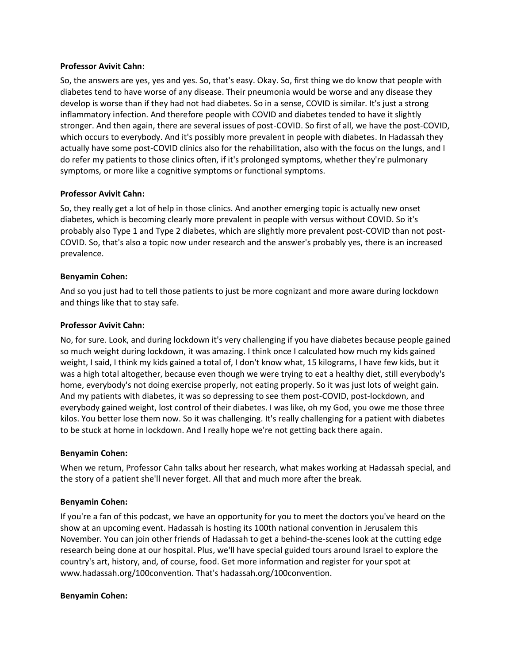#### **Professor Avivit Cahn:**

So, the answers are yes, yes and yes. So, that's easy. Okay. So, first thing we do know that people with diabetes tend to have worse of any disease. Their pneumonia would be worse and any disease they develop is worse than if they had not had diabetes. So in a sense, COVID is similar. It's just a strong inflammatory infection. And therefore people with COVID and diabetes tended to have it slightly stronger. And then again, there are several issues of post-COVID. So first of all, we have the post-COVID, which occurs to everybody. And it's possibly more prevalent in people with diabetes. In Hadassah they actually have some post-COVID clinics also for the rehabilitation, also with the focus on the lungs, and I do refer my patients to those clinics often, if it's prolonged symptoms, whether they're pulmonary symptoms, or more like a cognitive symptoms or functional symptoms.

# **Professor Avivit Cahn:**

So, they really get a lot of help in those clinics. And another emerging topic is actually new onset diabetes, which is becoming clearly more prevalent in people with versus without COVID. So it's probably also Type 1 and Type 2 diabetes, which are slightly more prevalent post-COVID than not post-COVID. So, that's also a topic now under research and the answer's probably yes, there is an increased prevalence.

## **Benyamin Cohen:**

And so you just had to tell those patients to just be more cognizant and more aware during lockdown and things like that to stay safe.

# **Professor Avivit Cahn:**

No, for sure. Look, and during lockdown it's very challenging if you have diabetes because people gained so much weight during lockdown, it was amazing. I think once I calculated how much my kids gained weight, I said, I think my kids gained a total of, I don't know what, 15 kilograms, I have few kids, but it was a high total altogether, because even though we were trying to eat a healthy diet, still everybody's home, everybody's not doing exercise properly, not eating properly. So it was just lots of weight gain. And my patients with diabetes, it was so depressing to see them post-COVID, post-lockdown, and everybody gained weight, lost control of their diabetes. I was like, oh my God, you owe me those three kilos. You better lose them now. So it was challenging. It's really challenging for a patient with diabetes to be stuck at home in lockdown. And I really hope we're not getting back there again.

## **Benyamin Cohen:**

When we return, Professor Cahn talks about her research, what makes working at Hadassah special, and the story of a patient she'll never forget. All that and much more after the break.

## **Benyamin Cohen:**

If you're a fan of this podcast, we have an opportunity for you to meet the doctors you've heard on the show at an upcoming event. Hadassah is hosting its 100th national convention in Jerusalem this November. You can join other friends of Hadassah to get a behind-the-scenes look at the cutting edge research being done at our hospital. Plus, we'll have special guided tours around Israel to explore the country's art, history, and, of course, food. Get more information and register for your spot at www.hadassah.org/100convention. That's hadassah.org/100convention.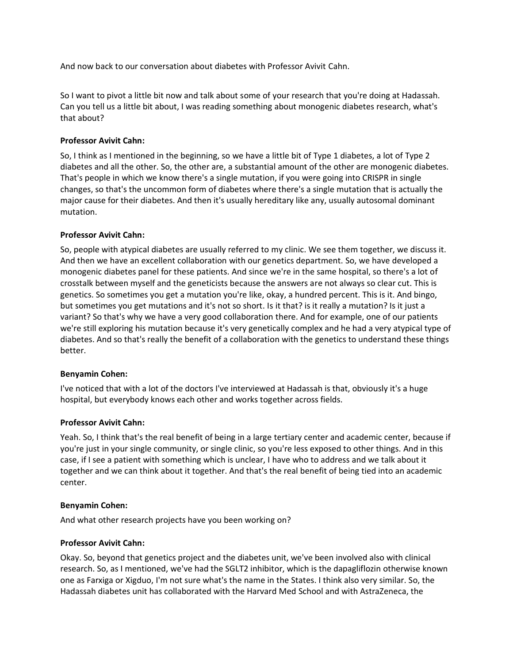And now back to our conversation about diabetes with Professor Avivit Cahn.

So I want to pivot a little bit now and talk about some of your research that you're doing at Hadassah. Can you tell us a little bit about, I was reading something about monogenic diabetes research, what's that about?

# **Professor Avivit Cahn:**

So, I think as I mentioned in the beginning, so we have a little bit of Type 1 diabetes, a lot of Type 2 diabetes and all the other. So, the other are, a substantial amount of the other are monogenic diabetes. That's people in which we know there's a single mutation, if you were going into CRISPR in single changes, so that's the uncommon form of diabetes where there's a single mutation that is actually the major cause for their diabetes. And then it's usually hereditary like any, usually autosomal dominant mutation.

## **Professor Avivit Cahn:**

So, people with atypical diabetes are usually referred to my clinic. We see them together, we discuss it. And then we have an excellent collaboration with our genetics department. So, we have developed a monogenic diabetes panel for these patients. And since we're in the same hospital, so there's a lot of crosstalk between myself and the geneticists because the answers are not always so clear cut. This is genetics. So sometimes you get a mutation you're like, okay, a hundred percent. This is it. And bingo, but sometimes you get mutations and it's not so short. Is it that? is it really a mutation? Is it just a variant? So that's why we have a very good collaboration there. And for example, one of our patients we're still exploring his mutation because it's very genetically complex and he had a very atypical type of diabetes. And so that's really the benefit of a collaboration with the genetics to understand these things better.

## **Benyamin Cohen:**

I've noticed that with a lot of the doctors I've interviewed at Hadassah is that, obviously it's a huge hospital, but everybody knows each other and works together across fields.

## **Professor Avivit Cahn:**

Yeah. So, I think that's the real benefit of being in a large tertiary center and academic center, because if you're just in your single community, or single clinic, so you're less exposed to other things. And in this case, if I see a patient with something which is unclear, I have who to address and we talk about it together and we can think about it together. And that's the real benefit of being tied into an academic center.

## **Benyamin Cohen:**

And what other research projects have you been working on?

## **Professor Avivit Cahn:**

Okay. So, beyond that genetics project and the diabetes unit, we've been involved also with clinical research. So, as I mentioned, we've had the SGLT2 inhibitor, which is the dapagliflozin otherwise known one as Farxiga or Xigduo, I'm not sure what's the name in the States. I think also very similar. So, the Hadassah diabetes unit has collaborated with the Harvard Med School and with AstraZeneca, the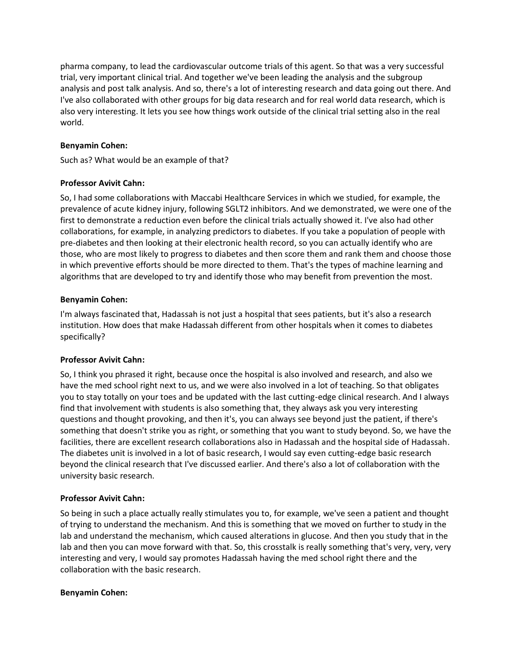pharma company, to lead the cardiovascular outcome trials of this agent. So that was a very successful trial, very important clinical trial. And together we've been leading the analysis and the subgroup analysis and post talk analysis. And so, there's a lot of interesting research and data going out there. And I've also collaborated with other groups for big data research and for real world data research, which is also very interesting. It lets you see how things work outside of the clinical trial setting also in the real world.

# **Benyamin Cohen:**

Such as? What would be an example of that?

# **Professor Avivit Cahn:**

So, I had some collaborations with Maccabi Healthcare Services in which we studied, for example, the prevalence of acute kidney injury, following SGLT2 inhibitors. And we demonstrated, we were one of the first to demonstrate a reduction even before the clinical trials actually showed it. I've also had other collaborations, for example, in analyzing predictors to diabetes. If you take a population of people with pre-diabetes and then looking at their electronic health record, so you can actually identify who are those, who are most likely to progress to diabetes and then score them and rank them and choose those in which preventive efforts should be more directed to them. That's the types of machine learning and algorithms that are developed to try and identify those who may benefit from prevention the most.

# **Benyamin Cohen:**

I'm always fascinated that, Hadassah is not just a hospital that sees patients, but it's also a research institution. How does that make Hadassah different from other hospitals when it comes to diabetes specifically?

# **Professor Avivit Cahn:**

So, I think you phrased it right, because once the hospital is also involved and research, and also we have the med school right next to us, and we were also involved in a lot of teaching. So that obligates you to stay totally on your toes and be updated with the last cutting-edge clinical research. And I always find that involvement with students is also something that, they always ask you very interesting questions and thought provoking, and then it's, you can always see beyond just the patient, if there's something that doesn't strike you as right, or something that you want to study beyond. So, we have the facilities, there are excellent research collaborations also in Hadassah and the hospital side of Hadassah. The diabetes unit is involved in a lot of basic research, I would say even cutting-edge basic research beyond the clinical research that I've discussed earlier. And there's also a lot of collaboration with the university basic research.

## **Professor Avivit Cahn:**

So being in such a place actually really stimulates you to, for example, we've seen a patient and thought of trying to understand the mechanism. And this is something that we moved on further to study in the lab and understand the mechanism, which caused alterations in glucose. And then you study that in the lab and then you can move forward with that. So, this crosstalk is really something that's very, very, very interesting and very, I would say promotes Hadassah having the med school right there and the collaboration with the basic research.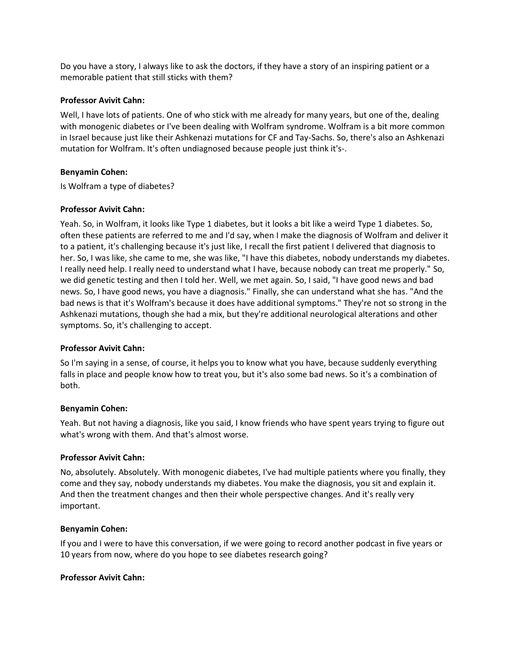Do you have a story, I always like to ask the doctors, if they have a story of an inspiring patient or a memorable patient that still sticks with them?

## **Professor Avivit Cahn:**

Well, I have lots of patients. One of who stick with me already for many years, but one of the, dealing with monogenic diabetes or I've been dealing with Wolfram syndrome. Wolfram is a bit more common in Israel because just like their Ashkenazi mutations for CF and Tay-Sachs. So, there's also an Ashkenazi mutation for Wolfram. It's often undiagnosed because people just think it's-.

#### **Benyamin Cohen:**

Is Wolfram a type of diabetes?

## **Professor Avivit Cahn:**

Yeah. So, in Wolfram, it looks like Type 1 diabetes, but it looks a bit like a weird Type 1 diabetes. So, often these patients are referred to me and I'd say, when I make the diagnosis of Wolfram and deliver it to a patient, it's challenging because it's just like, I recall the first patient I delivered that diagnosis to her. So, I was like, she came to me, she was like, "I have this diabetes, nobody understands my diabetes. I really need help. I really need to understand what I have, because nobody can treat me properly." So, we did genetic testing and then I told her. Well, we met again. So, I said, "I have good news and bad news. So, I have good news, you have a diagnosis." Finally, she can understand what she has. "And the bad news is that it's Wolfram's because it does have additional symptoms." They're not so strong in the Ashkenazi mutations, though she had a mix, but they're additional neurological alterations and other symptoms. So, it's challenging to accept.

## **Professor Avivit Cahn:**

So I'm saying in a sense, of course, it helps you to know what you have, because suddenly everything falls in place and people know how to treat you, but it's also some bad news. So it's a combination of both.

#### **Benyamin Cohen:**

Yeah. But not having a diagnosis, like you said, I know friends who have spent years trying to figure out what's wrong with them. And that's almost worse.

#### **Professor Avivit Cahn:**

No, absolutely. Absolutely. With monogenic diabetes, I've had multiple patients where you finally, they come and they say, nobody understands my diabetes. You make the diagnosis, you sit and explain it. And then the treatment changes and then their whole perspective changes. And it's really very important.

#### **Benyamin Cohen:**

If you and I were to have this conversation, if we were going to record another podcast in five years or 10 years from now, where do you hope to see diabetes research going?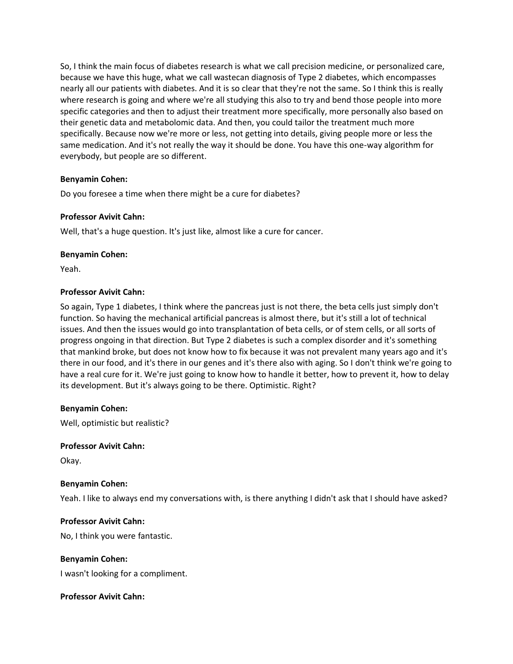So, I think the main focus of diabetes research is what we call precision medicine, or personalized care, because we have this huge, what we call wastecan diagnosis of Type 2 diabetes, which encompasses nearly all our patients with diabetes. And it is so clear that they're not the same. So I think this is really where research is going and where we're all studying this also to try and bend those people into more specific categories and then to adjust their treatment more specifically, more personally also based on their genetic data and metabolomic data. And then, you could tailor the treatment much more specifically. Because now we're more or less, not getting into details, giving people more or less the same medication. And it's not really the way it should be done. You have this one-way algorithm for everybody, but people are so different.

## **Benyamin Cohen:**

Do you foresee a time when there might be a cure for diabetes?

# **Professor Avivit Cahn:**

Well, that's a huge question. It's just like, almost like a cure for cancer.

## **Benyamin Cohen:**

Yeah.

# **Professor Avivit Cahn:**

So again, Type 1 diabetes, I think where the pancreas just is not there, the beta cells just simply don't function. So having the mechanical artificial pancreas is almost there, but it's still a lot of technical issues. And then the issues would go into transplantation of beta cells, or of stem cells, or all sorts of progress ongoing in that direction. But Type 2 diabetes is such a complex disorder and it's something that mankind broke, but does not know how to fix because it was not prevalent many years ago and it's there in our food, and it's there in our genes and it's there also with aging. So I don't think we're going to have a real cure for it. We're just going to know how to handle it better, how to prevent it, how to delay its development. But it's always going to be there. Optimistic. Right?

## **Benyamin Cohen:**

Well, optimistic but realistic?

## **Professor Avivit Cahn:**

Okay.

## **Benyamin Cohen:**

Yeah. I like to always end my conversations with, is there anything I didn't ask that I should have asked?

## **Professor Avivit Cahn:**

No, I think you were fantastic.

## **Benyamin Cohen:**

I wasn't looking for a compliment.